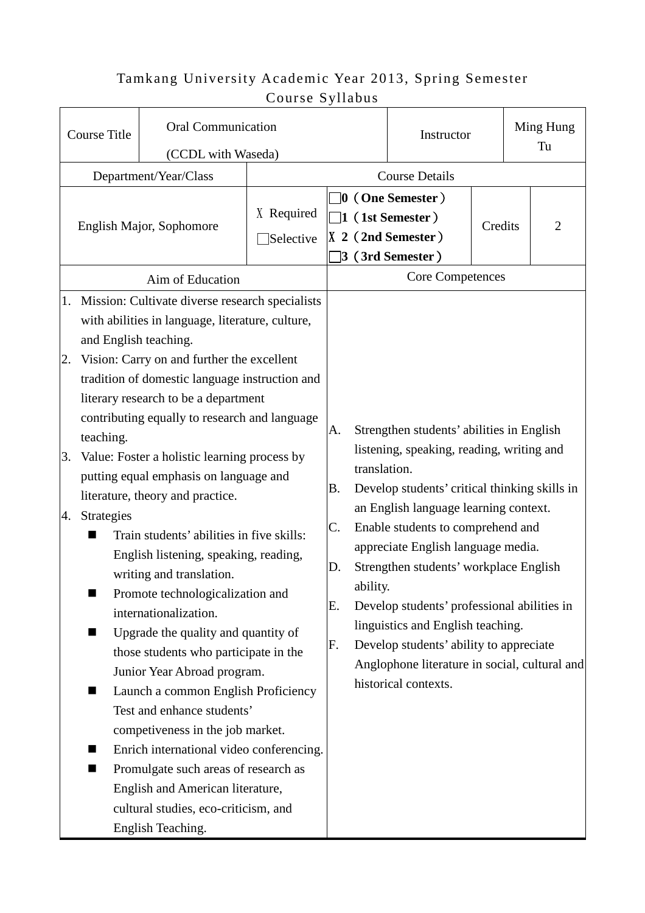## Tamkang University Academic Year 2013, Spring Semester Course Syllabus

| <b>Course Title</b>                                                                            | <b>Oral Communication</b>                                                                                                                                                                                                                                                                                                                                                                                                                                                                                                                                                                                                                                                                                                                                                                                                                                                                                                                                                                                              |                         |                                                                                                       |                          | Instructor                                                                                                                                                                                                                                                                                                                                                                                                                                                                                                    |  | Ming Hung<br>Tu |  |
|------------------------------------------------------------------------------------------------|------------------------------------------------------------------------------------------------------------------------------------------------------------------------------------------------------------------------------------------------------------------------------------------------------------------------------------------------------------------------------------------------------------------------------------------------------------------------------------------------------------------------------------------------------------------------------------------------------------------------------------------------------------------------------------------------------------------------------------------------------------------------------------------------------------------------------------------------------------------------------------------------------------------------------------------------------------------------------------------------------------------------|-------------------------|-------------------------------------------------------------------------------------------------------|--------------------------|---------------------------------------------------------------------------------------------------------------------------------------------------------------------------------------------------------------------------------------------------------------------------------------------------------------------------------------------------------------------------------------------------------------------------------------------------------------------------------------------------------------|--|-----------------|--|
| (CCDL with Waseda)                                                                             |                                                                                                                                                                                                                                                                                                                                                                                                                                                                                                                                                                                                                                                                                                                                                                                                                                                                                                                                                                                                                        |                         |                                                                                                       |                          |                                                                                                                                                                                                                                                                                                                                                                                                                                                                                                               |  |                 |  |
| Department/Year/Class                                                                          |                                                                                                                                                                                                                                                                                                                                                                                                                                                                                                                                                                                                                                                                                                                                                                                                                                                                                                                                                                                                                        | <b>Course Details</b>   |                                                                                                       |                          |                                                                                                                                                                                                                                                                                                                                                                                                                                                                                                               |  |                 |  |
| English Major, Sophomore                                                                       |                                                                                                                                                                                                                                                                                                                                                                                                                                                                                                                                                                                                                                                                                                                                                                                                                                                                                                                                                                                                                        | X Required<br>Selective | $\Box$ 0 (One Semester )<br>$\Box$ 1 (1st Semester)<br>$\vert$ X 2 (2nd Semester)<br>3 (3rd Semester) |                          | Credits                                                                                                                                                                                                                                                                                                                                                                                                                                                                                                       |  | $\overline{2}$  |  |
| Aim of Education                                                                               |                                                                                                                                                                                                                                                                                                                                                                                                                                                                                                                                                                                                                                                                                                                                                                                                                                                                                                                                                                                                                        |                         | <b>Core Competences</b>                                                                               |                          |                                                                                                                                                                                                                                                                                                                                                                                                                                                                                                               |  |                 |  |
| 1.<br>and English teaching.<br>2.<br>teaching.<br>3.<br><b>Strategies</b><br>4.<br>■<br>■<br>■ | Mission: Cultivate diverse research specialists<br>with abilities in language, literature, culture,<br>Vision: Carry on and further the excellent<br>tradition of domestic language instruction and<br>literary research to be a department<br>contributing equally to research and language<br>Value: Foster a holistic learning process by<br>putting equal emphasis on language and<br>literature, theory and practice.<br>Train students' abilities in five skills:<br>English listening, speaking, reading,<br>writing and translation.<br>Promote technologicalization and<br>internationalization.<br>Upgrade the quality and quantity of<br>those students who participate in the<br>Junior Year Abroad program.<br>Launch a common English Proficiency<br>Test and enhance students'<br>competiveness in the job market.<br>Enrich international video conferencing.<br>Promulgate such areas of research as<br>English and American literature,<br>cultural studies, eco-criticism, and<br>English Teaching. |                         | А.<br>В.<br>C.<br>D.<br>Ε.<br>F.                                                                      | translation.<br>ability. | Strengthen students' abilities in English<br>listening, speaking, reading, writing and<br>Develop students' critical thinking skills in<br>an English language learning context.<br>Enable students to comprehend and<br>appreciate English language media.<br>Strengthen students' workplace English<br>Develop students' professional abilities in<br>linguistics and English teaching.<br>Develop students' ability to appreciate<br>Anglophone literature in social, cultural and<br>historical contexts. |  |                 |  |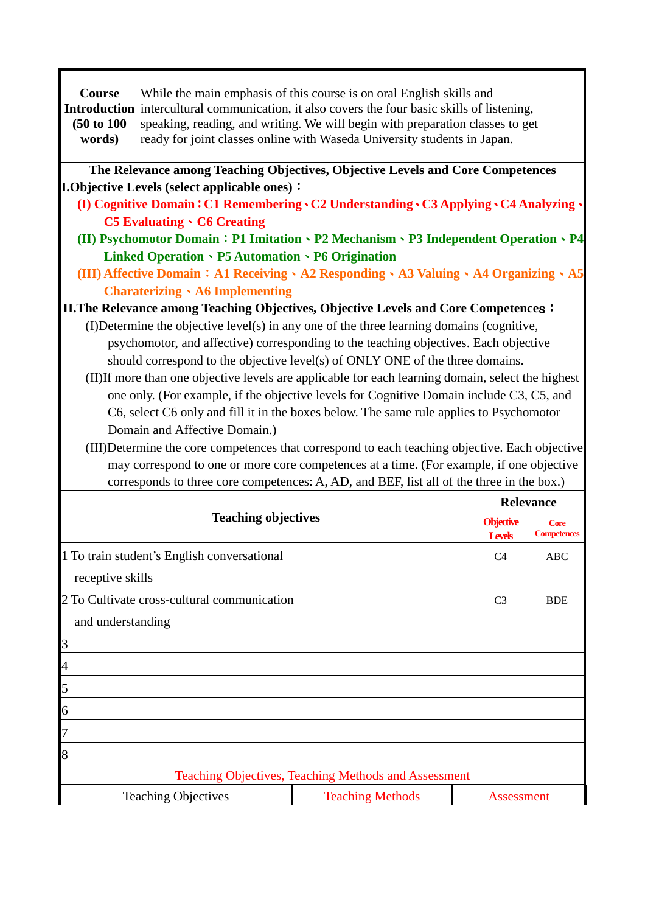| Course<br><b>Introduction</b><br>(50 to 100)<br>words)                                                                                                                                      | While the main emphasis of this course is on oral English skills and<br>intercultural communication, it also covers the four basic skills of listening,<br>speaking, reading, and writing. We will begin with preparation classes to get<br>ready for joint classes online with Waseda University students in Japan. |                                                                                                                                                                                 |                  |                    |  |  |
|---------------------------------------------------------------------------------------------------------------------------------------------------------------------------------------------|----------------------------------------------------------------------------------------------------------------------------------------------------------------------------------------------------------------------------------------------------------------------------------------------------------------------|---------------------------------------------------------------------------------------------------------------------------------------------------------------------------------|------------------|--------------------|--|--|
| The Relevance among Teaching Objectives, Objective Levels and Core Competences<br><b>I.Objective Levels (select applicable ones):</b>                                                       |                                                                                                                                                                                                                                                                                                                      |                                                                                                                                                                                 |                  |                    |  |  |
|                                                                                                                                                                                             |                                                                                                                                                                                                                                                                                                                      | (I) Cognitive Domain: C1 Remembering . C2 Understanding . C3 Applying . C4 Analyzing .                                                                                          |                  |                    |  |  |
|                                                                                                                                                                                             | <b>C5 Evaluating · C6 Creating</b>                                                                                                                                                                                                                                                                                   |                                                                                                                                                                                 |                  |                    |  |  |
|                                                                                                                                                                                             |                                                                                                                                                                                                                                                                                                                      | (II) Psychomotor Domain: P1 Imitation · P2 Mechanism · P3 Independent Operation · P4                                                                                            |                  |                    |  |  |
|                                                                                                                                                                                             | Linked Operation . P5 Automation . P6 Origination                                                                                                                                                                                                                                                                    |                                                                                                                                                                                 |                  |                    |  |  |
|                                                                                                                                                                                             |                                                                                                                                                                                                                                                                                                                      | (III) Affective Domain: A1 Receiving \ A2 Responding \ A3 Valuing \ A4 Organizing \ A5                                                                                          |                  |                    |  |  |
|                                                                                                                                                                                             | <b>Charaterizing A6</b> Implementing                                                                                                                                                                                                                                                                                 |                                                                                                                                                                                 |                  |                    |  |  |
|                                                                                                                                                                                             |                                                                                                                                                                                                                                                                                                                      | II. The Relevance among Teaching Objectives, Objective Levels and Core Competences:<br>(I)Determine the objective level(s) in any one of the three learning domains (cognitive, |                  |                    |  |  |
|                                                                                                                                                                                             |                                                                                                                                                                                                                                                                                                                      | psychomotor, and affective) corresponding to the teaching objectives. Each objective                                                                                            |                  |                    |  |  |
|                                                                                                                                                                                             |                                                                                                                                                                                                                                                                                                                      | should correspond to the objective level(s) of ONLY ONE of the three domains.                                                                                                   |                  |                    |  |  |
|                                                                                                                                                                                             |                                                                                                                                                                                                                                                                                                                      | (II) If more than one objective levels are applicable for each learning domain, select the highest                                                                              |                  |                    |  |  |
|                                                                                                                                                                                             |                                                                                                                                                                                                                                                                                                                      | one only. (For example, if the objective levels for Cognitive Domain include C3, C5, and                                                                                        |                  |                    |  |  |
|                                                                                                                                                                                             |                                                                                                                                                                                                                                                                                                                      | C6, select C6 only and fill it in the boxes below. The same rule applies to Psychomotor                                                                                         |                  |                    |  |  |
|                                                                                                                                                                                             | Domain and Affective Domain.)                                                                                                                                                                                                                                                                                        |                                                                                                                                                                                 |                  |                    |  |  |
| (III) Determine the core competences that correspond to each teaching objective. Each objective<br>may correspond to one or more core competences at a time. (For example, if one objective |                                                                                                                                                                                                                                                                                                                      |                                                                                                                                                                                 |                  |                    |  |  |
|                                                                                                                                                                                             |                                                                                                                                                                                                                                                                                                                      | corresponds to three core competences: A, AD, and BEF, list all of the three in the box.)                                                                                       |                  |                    |  |  |
|                                                                                                                                                                                             |                                                                                                                                                                                                                                                                                                                      |                                                                                                                                                                                 |                  | <b>Relevance</b>   |  |  |
| <b>Teaching objectives</b>                                                                                                                                                                  |                                                                                                                                                                                                                                                                                                                      |                                                                                                                                                                                 | <b>Objective</b> | <b>Core</b>        |  |  |
|                                                                                                                                                                                             |                                                                                                                                                                                                                                                                                                                      |                                                                                                                                                                                 | <b>Levels</b>    | <b>Competences</b> |  |  |
| 1 To train student's English conversational                                                                                                                                                 |                                                                                                                                                                                                                                                                                                                      |                                                                                                                                                                                 | C <sub>4</sub>   | ABC                |  |  |
| receptive skills                                                                                                                                                                            |                                                                                                                                                                                                                                                                                                                      |                                                                                                                                                                                 |                  |                    |  |  |
| 2 To Cultivate cross-cultural communication                                                                                                                                                 |                                                                                                                                                                                                                                                                                                                      |                                                                                                                                                                                 | C <sub>3</sub>   | <b>BDE</b>         |  |  |
| and understanding                                                                                                                                                                           |                                                                                                                                                                                                                                                                                                                      |                                                                                                                                                                                 |                  |                    |  |  |
| 3                                                                                                                                                                                           |                                                                                                                                                                                                                                                                                                                      |                                                                                                                                                                                 |                  |                    |  |  |
| $\overline{4}$                                                                                                                                                                              |                                                                                                                                                                                                                                                                                                                      |                                                                                                                                                                                 |                  |                    |  |  |
| 5                                                                                                                                                                                           |                                                                                                                                                                                                                                                                                                                      |                                                                                                                                                                                 |                  |                    |  |  |
| 6                                                                                                                                                                                           |                                                                                                                                                                                                                                                                                                                      |                                                                                                                                                                                 |                  |                    |  |  |
| 7                                                                                                                                                                                           |                                                                                                                                                                                                                                                                                                                      |                                                                                                                                                                                 |                  |                    |  |  |
| 8                                                                                                                                                                                           |                                                                                                                                                                                                                                                                                                                      |                                                                                                                                                                                 |                  |                    |  |  |
| Teaching Objectives, Teaching Methods and Assessment                                                                                                                                        |                                                                                                                                                                                                                                                                                                                      |                                                                                                                                                                                 |                  |                    |  |  |
| <b>Teaching Objectives</b><br><b>Teaching Methods</b><br><b>Assessment</b>                                                                                                                  |                                                                                                                                                                                                                                                                                                                      |                                                                                                                                                                                 |                  |                    |  |  |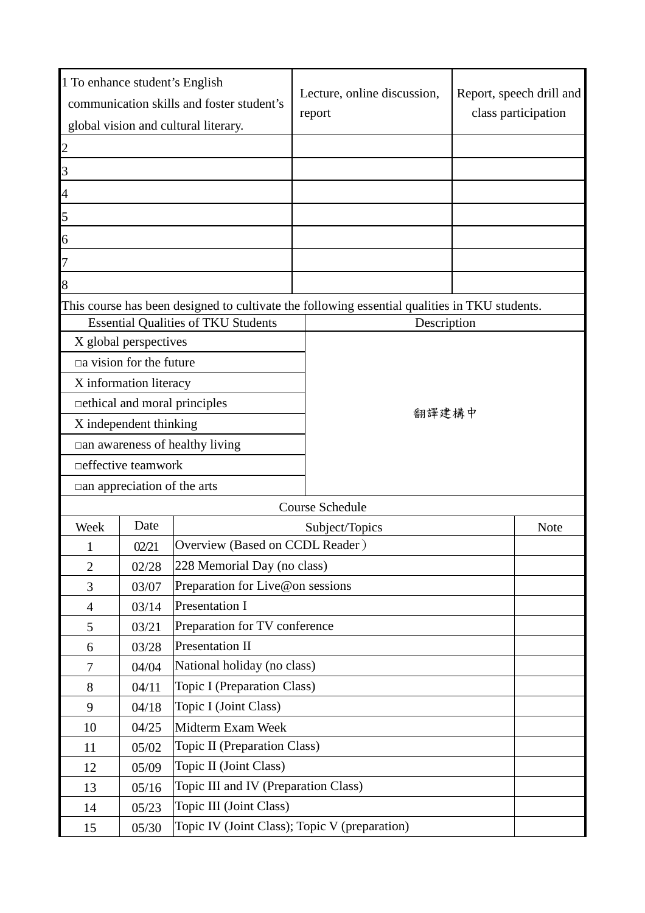| 1 To enhance student's English<br>communication skills and foster student's |                                                        |                                            | Lecture, online discussion,<br>report                                                         | Report, speech drill and<br>class participation |  |  |  |
|-----------------------------------------------------------------------------|--------------------------------------------------------|--------------------------------------------|-----------------------------------------------------------------------------------------------|-------------------------------------------------|--|--|--|
| global vision and cultural literary.                                        |                                                        |                                            |                                                                                               |                                                 |  |  |  |
| $\overline{c}$                                                              |                                                        |                                            |                                                                                               |                                                 |  |  |  |
| $\overline{3}$                                                              |                                                        |                                            |                                                                                               |                                                 |  |  |  |
| 4                                                                           |                                                        |                                            |                                                                                               |                                                 |  |  |  |
| 5                                                                           |                                                        |                                            |                                                                                               |                                                 |  |  |  |
| 6                                                                           |                                                        |                                            |                                                                                               |                                                 |  |  |  |
| 7                                                                           |                                                        |                                            |                                                                                               |                                                 |  |  |  |
| 8                                                                           |                                                        |                                            |                                                                                               |                                                 |  |  |  |
|                                                                             |                                                        |                                            | This course has been designed to cultivate the following essential qualities in TKU students. |                                                 |  |  |  |
|                                                                             |                                                        | <b>Essential Qualities of TKU Students</b> | Description                                                                                   |                                                 |  |  |  |
|                                                                             | X global perspectives                                  |                                            |                                                                                               |                                                 |  |  |  |
|                                                                             | $\Box$ a vision for the future                         |                                            |                                                                                               |                                                 |  |  |  |
|                                                                             | X information literacy                                 |                                            |                                                                                               |                                                 |  |  |  |
|                                                                             |                                                        | □ ethical and moral principles             |                                                                                               |                                                 |  |  |  |
| X independent thinking                                                      |                                                        |                                            | 翻譯建構中                                                                                         |                                                 |  |  |  |
|                                                                             |                                                        | $\Box$ an awareness of healthy living      |                                                                                               |                                                 |  |  |  |
|                                                                             | □ effective teamwork                                   |                                            |                                                                                               |                                                 |  |  |  |
| $\Box$ an appreciation of the arts                                          |                                                        |                                            |                                                                                               |                                                 |  |  |  |
|                                                                             |                                                        |                                            | Course Schedule                                                                               |                                                 |  |  |  |
| Week                                                                        | Date                                                   | Subject/Topics<br>Note                     |                                                                                               |                                                 |  |  |  |
| 1                                                                           | 02/21                                                  | Overview (Based on CCDL Reader)            |                                                                                               |                                                 |  |  |  |
| $\overline{2}$                                                              | 02/28                                                  | 228 Memorial Day (no class)                |                                                                                               |                                                 |  |  |  |
| 3                                                                           | 03/07                                                  | Preparation for Live@on sessions           |                                                                                               |                                                 |  |  |  |
| $\overline{4}$                                                              | 03/14                                                  | Presentation I                             |                                                                                               |                                                 |  |  |  |
| 5                                                                           | 03/21                                                  |                                            | Preparation for TV conference                                                                 |                                                 |  |  |  |
| 6                                                                           | 03/28                                                  | <b>Presentation II</b>                     |                                                                                               |                                                 |  |  |  |
| $\tau$                                                                      | 04/04                                                  | National holiday (no class)                |                                                                                               |                                                 |  |  |  |
| 8                                                                           | 04/11                                                  | Topic I (Preparation Class)                |                                                                                               |                                                 |  |  |  |
| 9                                                                           | 04/18                                                  | Topic I (Joint Class)                      |                                                                                               |                                                 |  |  |  |
| 10                                                                          | 04/25                                                  | Midterm Exam Week                          |                                                                                               |                                                 |  |  |  |
| 11                                                                          | 05/02                                                  | Topic II (Preparation Class)               |                                                                                               |                                                 |  |  |  |
| 12                                                                          | 05/09                                                  | Topic II (Joint Class)                     |                                                                                               |                                                 |  |  |  |
| 13                                                                          | 05/16                                                  | Topic III and IV (Preparation Class)       |                                                                                               |                                                 |  |  |  |
| 14                                                                          | 05/23                                                  | Topic III (Joint Class)                    |                                                                                               |                                                 |  |  |  |
| 15                                                                          | Topic IV (Joint Class); Topic V (preparation)<br>05/30 |                                            |                                                                                               |                                                 |  |  |  |